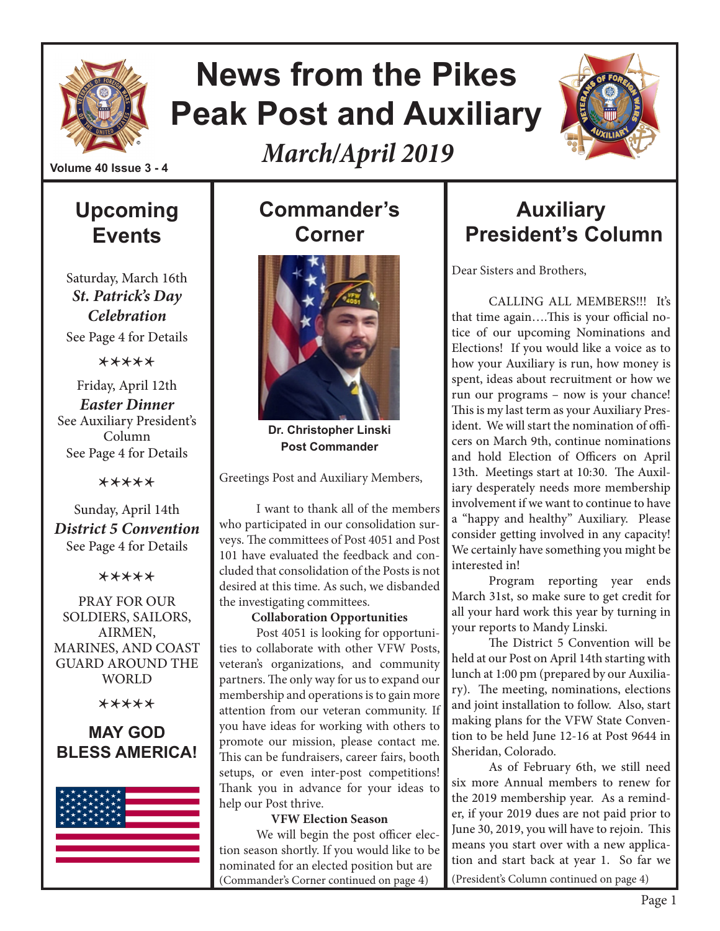

# **News from the Pikes Peak Post and Auxiliary**

*March/April 2019*



**Volume 40 Issue 3 - 4**

# **Upcoming Events**

Saturday, March 16th *St. Patrick's Day Celebration* See Page 4 for Details

\*\*\*\*\*

Friday, April 12th *Easter Dinner* See Auxiliary President's Column See Page 4 for Details

\*\*\*\*\*

Sunday, April 14th *District 5 Convention* See Page 4 for Details

\*\*\*\*\*

PRAY FOR OUR SOLDIERS, SAILORS, AIRMEN, MARINES, AND COAST GUARD AROUND THE WORLD

\*\*\*\*\*

#### **MAY GOD BLESS AMERICA!**



# **Commander's Corner**



**Dr. Christopher Linski Post Commander**

Greetings Post and Auxiliary Members,

I want to thank all of the members who participated in our consolidation surveys. The committees of Post 4051 and Post 101 have evaluated the feedback and concluded that consolidation of the Posts is not desired at this time. As such, we disbanded the investigating committees.

#### **Collaboration Opportunities**

Post 4051 is looking for opportunities to collaborate with other VFW Posts, veteran's organizations, and community partners. The only way for us to expand our membership and operations is to gain more attention from our veteran community. If you have ideas for working with others to promote our mission, please contact me. This can be fundraisers, career fairs, booth setups, or even inter-post competitions! Thank you in advance for your ideas to help our Post thrive.

#### **VFW Election Season**

We will begin the post officer election season shortly. If you would like to be nominated for an elected position but are (Commander's Corner continued on page 4)

# **Auxiliary President's Column**

Dear Sisters and Brothers,

CALLING ALL MEMBERS!!! It's that time again….This is your official notice of our upcoming Nominations and Elections! If you would like a voice as to how your Auxiliary is run, how money is spent, ideas about recruitment or how we run our programs – now is your chance! This is my last term as your Auxiliary President. We will start the nomination of officers on March 9th, continue nominations and hold Election of Officers on April 13th. Meetings start at 10:30. The Auxiliary desperately needs more membership involvement if we want to continue to have a "happy and healthy" Auxiliary. Please consider getting involved in any capacity! We certainly have something you might be interested in!

Program reporting year ends March 31st, so make sure to get credit for all your hard work this year by turning in your reports to Mandy Linski.

The District 5 Convention will be held at our Post on April 14th starting with lunch at 1:00 pm (prepared by our Auxiliary). The meeting, nominations, elections and joint installation to follow. Also, start making plans for the VFW State Convention to be held June 12-16 at Post 9644 in Sheridan, Colorado.

As of February 6th, we still need six more Annual members to renew for the 2019 membership year. As a reminder, if your 2019 dues are not paid prior to June 30, 2019, you will have to rejoin. This means you start over with a new application and start back at year 1. So far we (President's Column continued on page 4)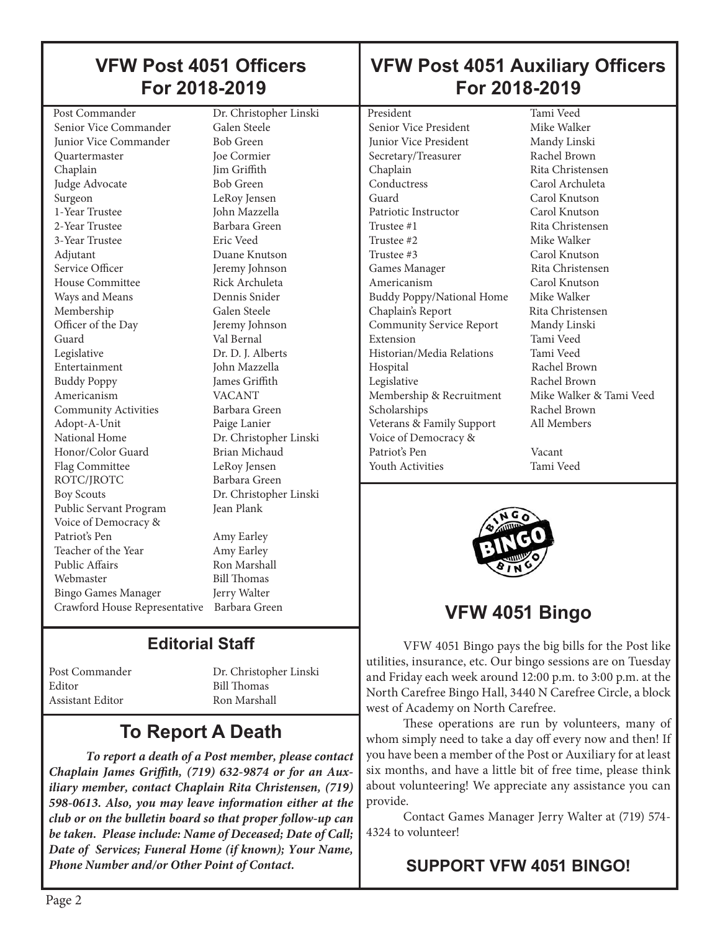### **VFW Post 4051 Officers For 2018-2019**

 Post Commander Dr. Christopher Linski Senior Vice Commander Galen Steele<br>
Iunior Vice Commander Bob Green Junior Vice Commander Quartermaster Joe Cormier Chaplain Jim Griffith Judge Advocate Bob Green Surgeon LeRoy Jensen 1-Year Trustee John Mazzella 2-Year Trustee Barbara Green 3-Year Trustee Eric Veed Adjutant Duane Knutson Service Officer **Jeremy Johnson** House Committee **Rick Archuleta** Ways and Means Dennis Snider Membership Galen Steele Officer of the Day Jeremy Johnson Guard Val Bernal Legislative Dr. D. J. Alberts Entertainment John Mazzella Buddy Poppy James Griffith Americanism VACANT<br>Community Activities Barbara Green Community Activities Adopt-A-Unit Paige Lanier National Home Dr. Christopher Linski Honor/Color Guard Brian Michaud Flag Committee LeRoy Jensen ROTC/JROTC Barbara Green Boy Scouts Dr. Christopher Linski Public Servant Program Jean Plank Voice of Democracy & Patriot's Pen Amy Earley Teacher of the Year Amy Earley Public Affairs Ron Marshall Webmaster Bill Thomas Bingo Games Manager Jerry Walter Crawford House Representative Barbara Green

### **Editorial Staff**

Editor Bill Thomas Assistant Editor

Post Commander Dr. Christopher Linski

# **To Report A Death**

*To report a death of a Post member, please contact Chaplain James Griffith, (719) 632-9874 or for an Auxiliary member, contact Chaplain Rita Christensen, (719) 598-0613. Also, you may leave information either at the club or on the bulletin board so that proper follow-up can be taken. Please include: Name of Deceased; Date of Call; Date of Services; Funeral Home (if known); Your Name, Phone Number and/or Other Point of Contact.*

### **VFW Post 4051 Auxiliary Officers For 2018-2019**

President Tami Veed Senior Vice President Mike Walker Junior Vice President Mandy Linski Secretary/Treasurer Rachel Brown Chaplain Rita Christensen Conductress Carol Archuleta Guard Carol Knutson Patriotic Instructor Carol Knutson Trustee #1 Rita Christensen Trustee #2 Mike Walker Trustee #3 Carol Knutson Games Manager Rita Christensen Americanism Carol Knutson Buddy Poppy/National Home Mike Walker Chaplain's Report Rita Christensen Community Service Report Mandy Linski Extension Tami Veed<br>Historian/Media Relations Tami Veed Historian/Media Relations Hospital Rachel Brown Legislative Rachel Brown Membership & Recruitment Mike Walker & Tami Veed Scholarships Rachel Brown Veterans & Family Support All Members Voice of Democracy & Patriot's Pen Vacant Youth Activities Tami Veed



# **VFW 4051 Bingo**

VFW 4051 Bingo pays the big bills for the Post like utilities, insurance, etc. Our bingo sessions are on Tuesday and Friday each week around 12:00 p.m. to 3:00 p.m. at the North Carefree Bingo Hall, 3440 N Carefree Circle, a block west of Academy on North Carefree.

These operations are run by volunteers, many of whom simply need to take a day off every now and then! If you have been a member of the Post or Auxiliary for at least six months, and have a little bit of free time, please think about volunteering! We appreciate any assistance you can provide.

Contact Games Manager Jerry Walter at (719) 574- 4324 to volunteer!

#### **SUPPORT VFW 4051 BINGO!**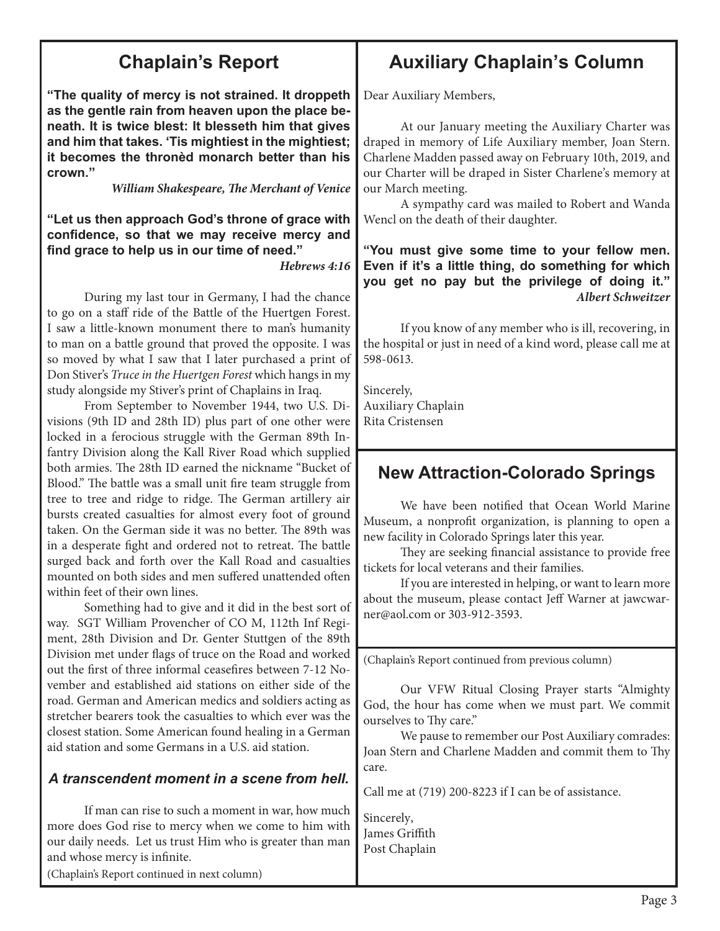### **Chaplain's Report**

**"The quality of mercy is not strained. It droppeth as the gentle rain from heaven upon the place beneath. It is twice blest: It blesseth him that gives and him that takes. 'Tis mightiest in the mightiest; it becomes the thronèd monarch better than his crown."** 

*William Shakespeare, The Merchant of Venice*

**"Let us then approach God's throne of grace with confidence, so that we may receive mercy and find grace to help us in our time of need."** 

*Hebrews 4:16*

During my last tour in Germany, I had the chance to go on a staff ride of the Battle of the Huertgen Forest. I saw a little-known monument there to man's humanity to man on a battle ground that proved the opposite. I was so moved by what I saw that I later purchased a print of Don Stiver's *Truce in the Huertgen Forest* which hangs in my study alongside my Stiver's print of Chaplains in Iraq.

From September to November 1944, two U.S. Divisions (9th ID and 28th ID) plus part of one other were locked in a ferocious struggle with the German 89th Infantry Division along the Kall River Road which supplied both armies. The 28th ID earned the nickname "Bucket of Blood." The battle was a small unit fire team struggle from tree to tree and ridge to ridge. The German artillery air bursts created casualties for almost every foot of ground taken. On the German side it was no better. The 89th was in a desperate fight and ordered not to retreat. The battle surged back and forth over the Kall Road and casualties mounted on both sides and men suffered unattended often within feet of their own lines.

Something had to give and it did in the best sort of way. SGT William Provencher of CO M, 112th Inf Regiment, 28th Division and Dr. Genter Stuttgen of the 89th Division met under flags of truce on the Road and worked out the first of three informal ceasefires between 7-12 November and established aid stations on either side of the road. German and American medics and soldiers acting as stretcher bearers took the casualties to which ever was the closest station. Some American found healing in a German aid station and some Germans in a U.S. aid station.

#### *A transcendent moment in a scene from hell.*

If man can rise to such a moment in war, how much more does God rise to mercy when we come to him with our daily needs. Let us trust Him who is greater than man and whose mercy is infinite.

(Chaplain's Report continued in next column)

### **Auxiliary Chaplain's Column**

Dear Auxiliary Members,

At our January meeting the Auxiliary Charter was draped in memory of Life Auxiliary member, Joan Stern. Charlene Madden passed away on February 10th, 2019, and our Charter will be draped in Sister Charlene's memory at our March meeting.

A sympathy card was mailed to Robert and Wanda Wencl on the death of their daughter.

**"You must give some time to your fellow men. Even if it's a little thing, do something for which you get no pay but the privilege of doing it."**  *Albert Schweitzer* 

If you know of any member who is ill, recovering, in the hospital or just in need of a kind word, please call me at 598-0613.

Sincerely, Auxiliary Chaplain Rita Cristensen

#### **New Attraction-Colorado Springs**

We have been notified that Ocean World Marine Museum, a nonprofit organization, is planning to open a new facility in Colorado Springs later this year.

They are seeking financial assistance to provide free tickets for local veterans and their families.

If you are interested in helping, or want to learn more about the museum, please contact Jeff Warner at jawcwarner@aol.com or 303-912-3593.

(Chaplain's Report continued from previous column)

Our VFW Ritual Closing Prayer starts "Almighty God, the hour has come when we must part. We commit ourselves to Thy care."

We pause to remember our Post Auxiliary comrades: Joan Stern and Charlene Madden and commit them to Thy care.

Call me at (719) 200-8223 if I can be of assistance.

Sincerely, James Griffith Post Chaplain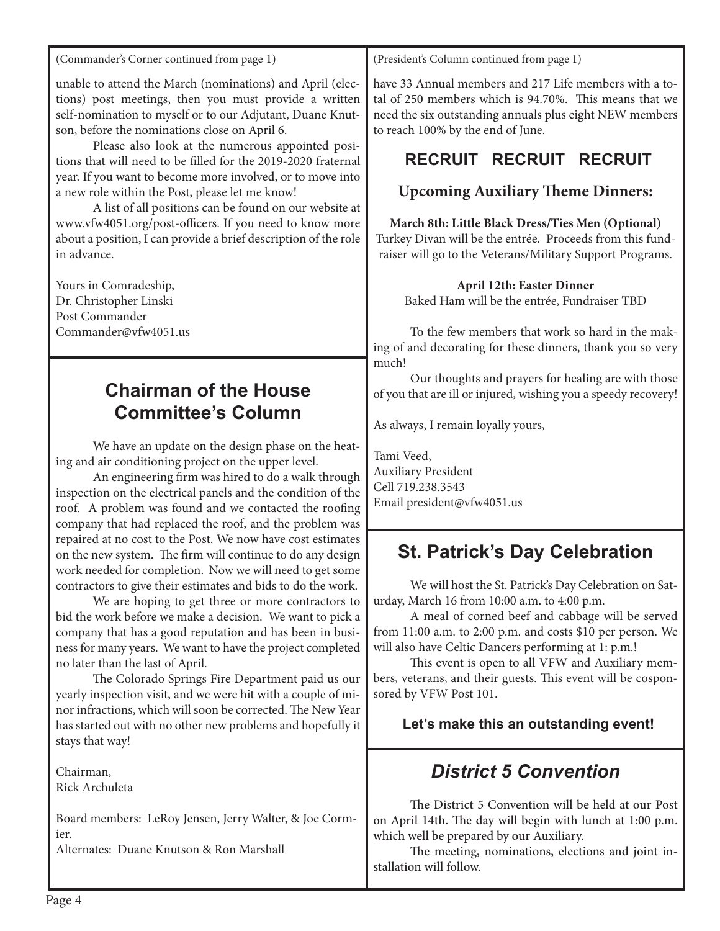(Commander's Corner continued from page 1)

unable to attend the March (nominations) and April (elections) post meetings, then you must provide a written self-nomination to myself or to our Adjutant, Duane Knutson, before the nominations close on April 6.

Please also look at the numerous appointed positions that will need to be filled for the 2019-2020 fraternal year. If you want to become more involved, or to move into a new role within the Post, please let me know!

A list of all positions can be found on our website at www.vfw4051.org/post-officers. If you need to know more about a position, I can provide a brief description of the role in advance.

Yours in Comradeship, Dr. Christopher Linski Post Commander Commander@vfw4051.us

#### **Chairman of the House Committee's Column**

We have an update on the design phase on the heating and air conditioning project on the upper level.

An engineering firm was hired to do a walk through inspection on the electrical panels and the condition of the roof. A problem was found and we contacted the roofing company that had replaced the roof, and the problem was repaired at no cost to the Post. We now have cost estimates on the new system. The firm will continue to do any design work needed for completion. Now we will need to get some contractors to give their estimates and bids to do the work.

We are hoping to get three or more contractors to bid the work before we make a decision. We want to pick a company that has a good reputation and has been in business for many years. We want to have the project completed no later than the last of April.

The Colorado Springs Fire Department paid us our yearly inspection visit, and we were hit with a couple of minor infractions, which will soon be corrected. The New Year has started out with no other new problems and hopefully it stays that way!

Chairman, Rick Archuleta

Board members: LeRoy Jensen, Jerry Walter, & Joe Cormier.

Alternates: Duane Knutson & Ron Marshall

(President's Column continued from page 1)

have 33 Annual members and 217 Life members with a total of 250 members which is 94.70%. This means that we need the six outstanding annuals plus eight NEW members to reach 100% by the end of June.

### **RECRUIT RECRUIT RECRUIT**

#### **Upcoming Auxiliary Theme Dinners:**

#### **March 8th: Little Black Dress/Ties Men (Optional)**

Turkey Divan will be the entrée. Proceeds from this fundraiser will go to the Veterans/Military Support Programs.

#### **April 12th: Easter Dinner**

Baked Ham will be the entrée, Fundraiser TBD

To the few members that work so hard in the making of and decorating for these dinners, thank you so very much!

Our thoughts and prayers for healing are with those of you that are ill or injured, wishing you a speedy recovery!

As always, I remain loyally yours,

Tami Veed, Auxiliary President Cell 719.238.3543 Email president@vfw4051.us

### **St. Patrick's Day Celebration**

We will host the St. Patrick's Day Celebration on Saturday, March 16 from 10:00 a.m. to 4:00 p.m.

A meal of corned beef and cabbage will be served from 11:00 a.m. to 2:00 p.m. and costs \$10 per person. We will also have Celtic Dancers performing at 1: p.m.!

This event is open to all VFW and Auxiliary members, veterans, and their guests. This event will be cosponsored by VFW Post 101.

#### **Let's make this an outstanding event!**

### *District 5 Convention*

The District 5 Convention will be held at our Post on April 14th. The day will begin with lunch at 1:00 p.m. which well be prepared by our Auxiliary.

The meeting, nominations, elections and joint installation will follow.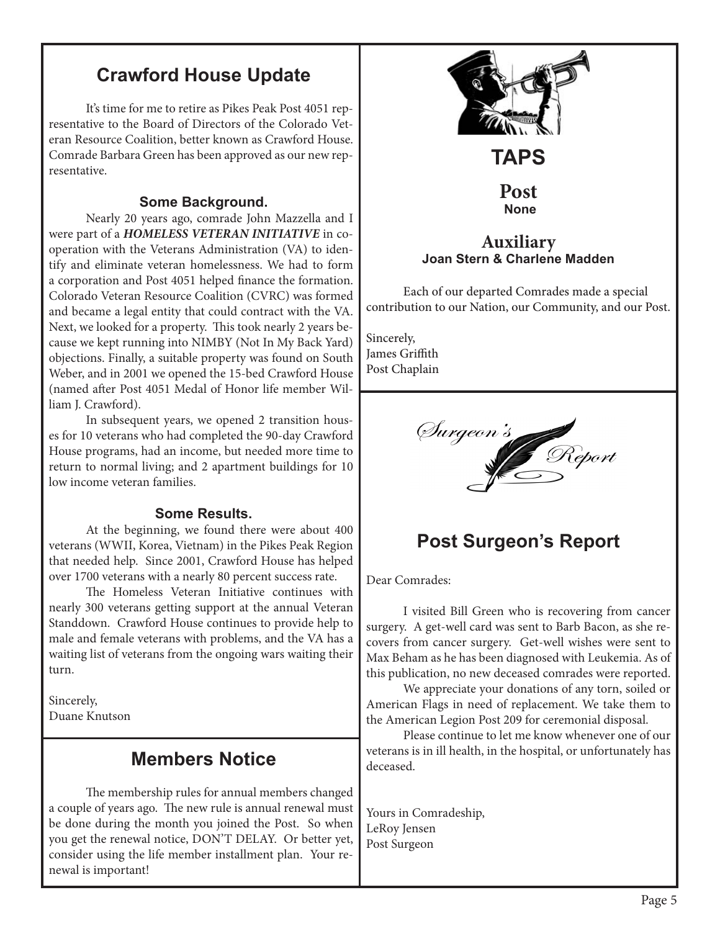### **Crawford House Update**

It's time for me to retire as Pikes Peak Post 4051 representative to the Board of Directors of the Colorado Veteran Resource Coalition, better known as Crawford House. Comrade Barbara Green has been approved as our new representative.

#### **Some Background.**

Nearly 20 years ago, comrade John Mazzella and I were part of a *HOMELESS VETERAN INITIATIVE* in cooperation with the Veterans Administration (VA) to identify and eliminate veteran homelessness. We had to form a corporation and Post 4051 helped finance the formation. Colorado Veteran Resource Coalition (CVRC) was formed and became a legal entity that could contract with the VA. Next, we looked for a property. This took nearly 2 years because we kept running into NIMBY (Not In My Back Yard) objections. Finally, a suitable property was found on South Weber, and in 2001 we opened the 15-bed Crawford House (named after Post 4051 Medal of Honor life member William J. Crawford).

In subsequent years, we opened 2 transition houses for 10 veterans who had completed the 90-day Crawford House programs, had an income, but needed more time to return to normal living; and 2 apartment buildings for 10 low income veteran families.

#### **Some Results.**

At the beginning, we found there were about 400 veterans (WWII, Korea, Vietnam) in the Pikes Peak Region that needed help. Since 2001, Crawford House has helped over 1700 veterans with a nearly 80 percent success rate.

The Homeless Veteran Initiative continues with nearly 300 veterans getting support at the annual Veteran Standdown. Crawford House continues to provide help to male and female veterans with problems, and the VA has a waiting list of veterans from the ongoing wars waiting their turn.

Sincerely, Duane Knutson

#### **Members Notice**

The membership rules for annual members changed a couple of years ago. The new rule is annual renewal must be done during the month you joined the Post. So when you get the renewal notice, DON'T DELAY. Or better yet, consider using the life member installment plan. Your renewal is important!



surgery. A get-well card was sent to Barb Bacon, as she recovers from cancer surgery. Get-well wishes were sent to Max Beham as he has been diagnosed with Leukemia. As of this publication, no new deceased comrades were reported.

We appreciate your donations of any torn, soiled or American Flags in need of replacement. We take them to the American Legion Post 209 for ceremonial disposal.

Please continue to let me know whenever one of our veterans is in ill health, in the hospital, or unfortunately has deceased.

Yours in Comradeship, LeRoy Jensen Post Surgeon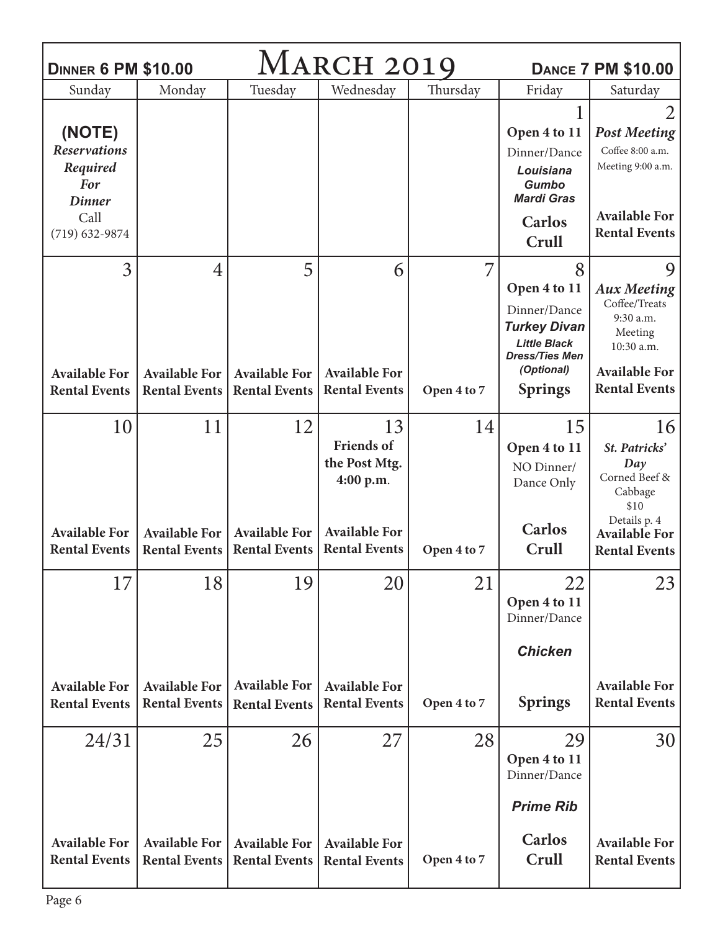| <b>MARCH 2019</b><br><b>DINNER 6 PM \$10.00</b><br><b>DANCE 7 PM \$10.00</b> |                                              |                                              |                                              |             |                                                            |                                              |  |  |
|------------------------------------------------------------------------------|----------------------------------------------|----------------------------------------------|----------------------------------------------|-------------|------------------------------------------------------------|----------------------------------------------|--|--|
| Sunday                                                                       | Monday                                       | Tuesday                                      | Wednesday                                    | Thursday    | Friday                                                     | Saturday                                     |  |  |
|                                                                              |                                              |                                              |                                              |             |                                                            | $\overline{2}$                               |  |  |
| (NOTE)                                                                       |                                              |                                              |                                              |             | Open 4 to 11                                               | <b>Post Meeting</b>                          |  |  |
| <b>Reservations</b>                                                          |                                              |                                              |                                              |             | Dinner/Dance                                               | Coffee 8:00 a.m.                             |  |  |
| Required<br><b>For</b><br><b>Dinner</b>                                      |                                              |                                              |                                              |             | Louisiana<br>Gumbo<br><b>Mardi Gras</b>                    | Meeting 9:00 a.m.                            |  |  |
| Call<br>$(719) 632 - 9874$                                                   |                                              |                                              |                                              |             | <b>Carlos</b><br>Crull                                     | <b>Available For</b><br><b>Rental Events</b> |  |  |
| 3                                                                            | 4                                            | 5                                            | 6                                            | 7           | 8                                                          | 9                                            |  |  |
|                                                                              |                                              |                                              |                                              |             | Open 4 to 11                                               | <b>Aux Meeting</b>                           |  |  |
|                                                                              |                                              |                                              |                                              |             | Dinner/Dance<br><b>Turkey Divan</b>                        | Coffee/Treats<br>9:30 a.m.<br>Meeting        |  |  |
|                                                                              |                                              |                                              |                                              |             | <b>Little Black</b><br><b>Dress/Ties Men</b><br>(Optional) | 10:30 a.m.<br><b>Available For</b>           |  |  |
| <b>Available For</b><br><b>Rental Events</b>                                 | <b>Available For</b><br><b>Rental Events</b> | <b>Available For</b><br><b>Rental Events</b> | <b>Available For</b><br><b>Rental Events</b> | Open 4 to 7 | <b>Springs</b>                                             | <b>Rental Events</b>                         |  |  |
|                                                                              |                                              |                                              |                                              |             |                                                            |                                              |  |  |
| 10                                                                           | 11                                           | 12                                           | 13                                           | 14          | 15                                                         | 16                                           |  |  |
|                                                                              |                                              |                                              | <b>Friends</b> of                            |             | Open 4 to 11                                               | St. Patricks'                                |  |  |
|                                                                              |                                              |                                              | the Post Mtg.                                |             | NO Dinner/                                                 | Day<br>Corned Beef &                         |  |  |
|                                                                              |                                              |                                              | 4:00 p.m.                                    |             | Dance Only                                                 | Cabbage<br>\$10                              |  |  |
| <b>Available For</b>                                                         | <b>Available For</b>                         | <b>Available For</b>                         | <b>Available For</b>                         |             | Carlos                                                     | Details p. 4<br><b>Available For</b>         |  |  |
| <b>Rental Events</b>                                                         | <b>Rental Events</b>                         | <b>Rental Events</b>                         | <b>Rental Events</b>                         | Open 4 to 7 | Crull                                                      | <b>Rental Events</b>                         |  |  |
|                                                                              |                                              |                                              |                                              |             |                                                            |                                              |  |  |
| 17                                                                           | 18                                           | 19                                           | 20                                           | 21          | 22                                                         | 23                                           |  |  |
|                                                                              |                                              |                                              |                                              |             | Open 4 to 11<br>Dinner/Dance                               |                                              |  |  |
|                                                                              |                                              |                                              |                                              |             | <b>Chicken</b>                                             |                                              |  |  |
| <b>Available For</b>                                                         | <b>Available For</b>                         | <b>Available For</b>                         | <b>Available For</b>                         |             |                                                            | <b>Available For</b>                         |  |  |
| <b>Rental Events</b>                                                         | <b>Rental Events</b>                         | <b>Rental Events</b>                         | <b>Rental Events</b>                         | Open 4 to 7 | <b>Springs</b>                                             | <b>Rental Events</b>                         |  |  |
| 24/31                                                                        | 25                                           | 26                                           | 27                                           | 28          | 29                                                         | 30                                           |  |  |
|                                                                              |                                              |                                              |                                              |             | Open 4 to 11<br>Dinner/Dance                               |                                              |  |  |
|                                                                              |                                              |                                              |                                              |             | <b>Prime Rib</b>                                           |                                              |  |  |
| <b>Available For</b>                                                         | <b>Available For</b>                         | <b>Available For</b>                         | <b>Available For</b>                         |             | <b>Carlos</b>                                              | <b>Available For</b>                         |  |  |
| <b>Rental Events</b>                                                         | <b>Rental Events</b>                         | <b>Rental Events</b>                         | <b>Rental Events</b>                         | Open 4 to 7 | Crull                                                      | <b>Rental Events</b>                         |  |  |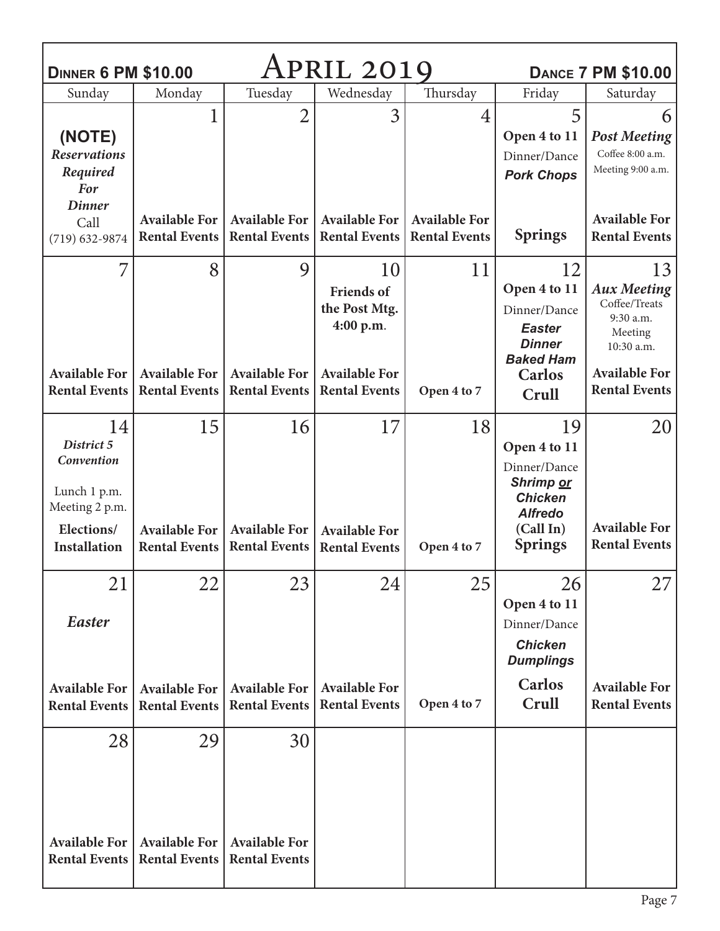| <b>DINNER 6 PM \$10.00</b>                                                                            | <b>DANCE 7 PM \$10.00</b>                          |                                                    |                                                                                                       |                                              |                                                                                                                    |                                                                                                                                 |
|-------------------------------------------------------------------------------------------------------|----------------------------------------------------|----------------------------------------------------|-------------------------------------------------------------------------------------------------------|----------------------------------------------|--------------------------------------------------------------------------------------------------------------------|---------------------------------------------------------------------------------------------------------------------------------|
| Sunday                                                                                                | Monday                                             | Tuesday                                            | Wednesday                                                                                             | Thursday                                     | Friday                                                                                                             | Saturday                                                                                                                        |
| (NOTE)<br><b>Reservations</b><br>Required<br><b>For</b>                                               |                                                    | $\overline{2}$                                     | 3                                                                                                     | 4                                            | 5<br>Open 4 to 11<br>Dinner/Dance<br><b>Pork Chops</b>                                                             | 6<br><b>Post Meeting</b><br>Coffee 8:00 a.m.<br>Meeting 9:00 a.m.                                                               |
| <b>Dinner</b><br>Call<br>$(719) 632 - 9874$                                                           | <b>Available For</b><br><b>Rental Events</b>       | <b>Available For</b><br><b>Rental Events</b>       | <b>Available For</b><br><b>Rental Events</b>                                                          | <b>Available For</b><br><b>Rental Events</b> | <b>Springs</b>                                                                                                     | <b>Available For</b><br><b>Rental Events</b>                                                                                    |
| <b>Available For</b><br><b>Rental Events</b>                                                          | 8<br><b>Available For</b><br><b>Rental Events</b>  | 9<br><b>Available For</b><br><b>Rental Events</b>  | 10<br><b>Friends</b> of<br>the Post Mtg.<br>4:00 p.m.<br><b>Available For</b><br><b>Rental Events</b> | 11<br>Open 4 to 7                            | 12<br>Open 4 to 11<br>Dinner/Dance<br><b>Easter</b><br><b>Dinner</b><br><b>Baked Ham</b><br><b>Carlos</b><br>Crull | 13<br><b>Aux Meeting</b><br>Coffee/Treats<br>9:30 a.m.<br>Meeting<br>10:30 a.m.<br><b>Available For</b><br><b>Rental Events</b> |
| 14<br>District 5<br>Convention<br>Lunch 1 p.m.<br>Meeting 2 p.m.<br>Elections/<br><b>Installation</b> | 15<br><b>Available For</b><br><b>Rental Events</b> | 16<br><b>Available For</b><br><b>Rental Events</b> | 17<br><b>Available For</b><br><b>Rental Events</b>                                                    | 18<br>Open 4 to 7                            | 19<br>Open 4 to 11<br>Dinner/Dance<br>Shrimp or<br><b>Chicken</b><br><b>Alfredo</b><br>(Call In)<br><b>Springs</b> | 20<br><b>Available For</b><br><b>Rental Events</b>                                                                              |
| 21<br>Easter<br><b>Available For</b><br><b>Rental Events</b>                                          | 22<br><b>Available For</b><br><b>Rental Events</b> | 23<br><b>Available For</b><br><b>Rental Events</b> | 24<br><b>Available For</b><br><b>Rental Events</b>                                                    | 25<br>Open 4 to 7                            | 26<br>Open 4 to 11<br>Dinner/Dance<br><b>Chicken</b><br><b>Dumplings</b><br><b>Carlos</b><br>Crull                 | 27<br><b>Available For</b><br><b>Rental Events</b>                                                                              |
| 28<br><b>Available For</b><br><b>Rental Events</b>                                                    | 29<br><b>Available For</b><br><b>Rental Events</b> | 30<br><b>Available For</b><br><b>Rental Events</b> |                                                                                                       |                                              |                                                                                                                    |                                                                                                                                 |